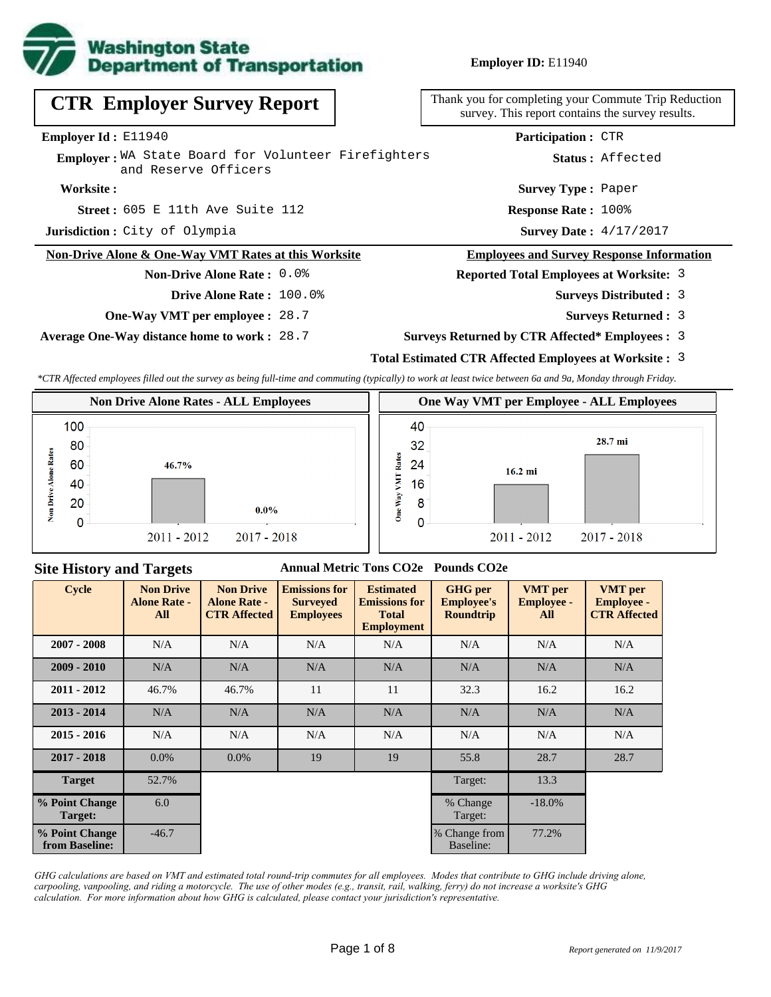

| <b>CTR Employer Survey Report</b>                                           | Thank you for completing your Commute Trip Reduction<br>survey. This report contains the survey results. |
|-----------------------------------------------------------------------------|----------------------------------------------------------------------------------------------------------|
| <b>Employer Id:</b> $E11940$                                                | <b>Participation: CTR</b>                                                                                |
| Employer: WA State Board for Volunteer Firefighters<br>and Reserve Officers | Status: Affected                                                                                         |
| Worksite:                                                                   | <b>Survey Type: Paper</b>                                                                                |
| Street: 605 E 11th Ave Suite 112                                            | <b>Response Rate: 100%</b>                                                                               |
| Jurisdiction: City of Olympia                                               | <b>Survey Date: 4/17/2017</b>                                                                            |
| Non-Drive Alone & One-Way VMT Rates at this Worksite                        | <b>Employees and Survey Response Information</b>                                                         |
| <b>Non-Drive Alone Rate: 0.0%</b>                                           | <b>Reported Total Employees at Worksite: 3</b>                                                           |
| Drive Alone Rate: 100.0%                                                    | <b>Surveys Distributed : 3</b>                                                                           |
|                                                                             |                                                                                                          |

**One-Way VMT per employee :** 28.7

**Average One-Way distance home to work :** 28.7

Reduction survey. This report contains the survey results.

- 3
- **Surveys Returned :** 3
- **Surveys Returned by CTR Affected\* Employees :** 3

### **Total Estimated CTR Affected Employees at Worksite :** 3

*\*CTR Affected employees filled out the survey as being full-time and commuting (typically) to work at least twice between 6a and 9a, Monday through Friday.*



#### **Site History and Targets**

#### **Annual Metric Tons CO2e Pounds CO2e**

| <b>Cycle</b>                     | <b>Non Drive</b><br><b>Alone Rate -</b><br>All | <b>Non Drive</b><br><b>Alone Rate -</b><br><b>CTR Affected</b> | <b>Emissions for</b><br><b>Surveyed</b><br><b>Employees</b> | <b>Estimated</b><br><b>Emissions for</b><br><b>Total</b><br><b>Employment</b> | <b>GHG</b> per<br><b>Employee's</b><br><b>Roundtrip</b> | <b>VMT</b> per<br><b>Employee -</b><br>All | <b>VMT</b> per<br><b>Employee -</b><br><b>CTR Affected</b> |
|----------------------------------|------------------------------------------------|----------------------------------------------------------------|-------------------------------------------------------------|-------------------------------------------------------------------------------|---------------------------------------------------------|--------------------------------------------|------------------------------------------------------------|
| $2007 - 2008$                    | N/A                                            | N/A                                                            | N/A                                                         |                                                                               | N/A                                                     | N/A                                        | N/A                                                        |
| $2009 - 2010$                    | N/A                                            | N/A                                                            | N/A                                                         | N/A                                                                           | N/A                                                     | N/A                                        | N/A                                                        |
| $2011 - 2012$                    | 46.7%                                          | 46.7%                                                          | 11                                                          | 11                                                                            | 32.3                                                    | 16.2                                       | 16.2                                                       |
| $2013 - 2014$                    | N/A                                            | N/A                                                            | N/A                                                         | N/A                                                                           | N/A                                                     | N/A                                        | N/A                                                        |
| $2015 - 2016$                    | N/A                                            | N/A                                                            | N/A                                                         | N/A                                                                           | N/A                                                     | N/A                                        | N/A                                                        |
| $2017 - 2018$                    | $0.0\%$                                        | $0.0\%$                                                        | 19                                                          | 19                                                                            | 55.8                                                    | 28.7                                       | 28.7                                                       |
| <b>Target</b>                    | 52.7%                                          |                                                                |                                                             |                                                                               | Target:                                                 | 13.3                                       |                                                            |
| % Point Change<br>Target:        | 6.0                                            |                                                                |                                                             |                                                                               | % Change<br>Target:                                     | $-18.0\%$                                  |                                                            |
| % Point Change<br>from Baseline: | $-46.7$                                        |                                                                |                                                             |                                                                               | % Change from<br>Baseline:                              | 77.2%                                      |                                                            |

*GHG calculations are based on VMT and estimated total round-trip commutes for all employees. Modes that contribute to GHG include driving alone, carpooling, vanpooling, and riding a motorcycle. The use of other modes (e.g., transit, rail, walking, ferry) do not increase a worksite's GHG calculation. For more information about how GHG is calculated, please contact your jurisdiction's representative.*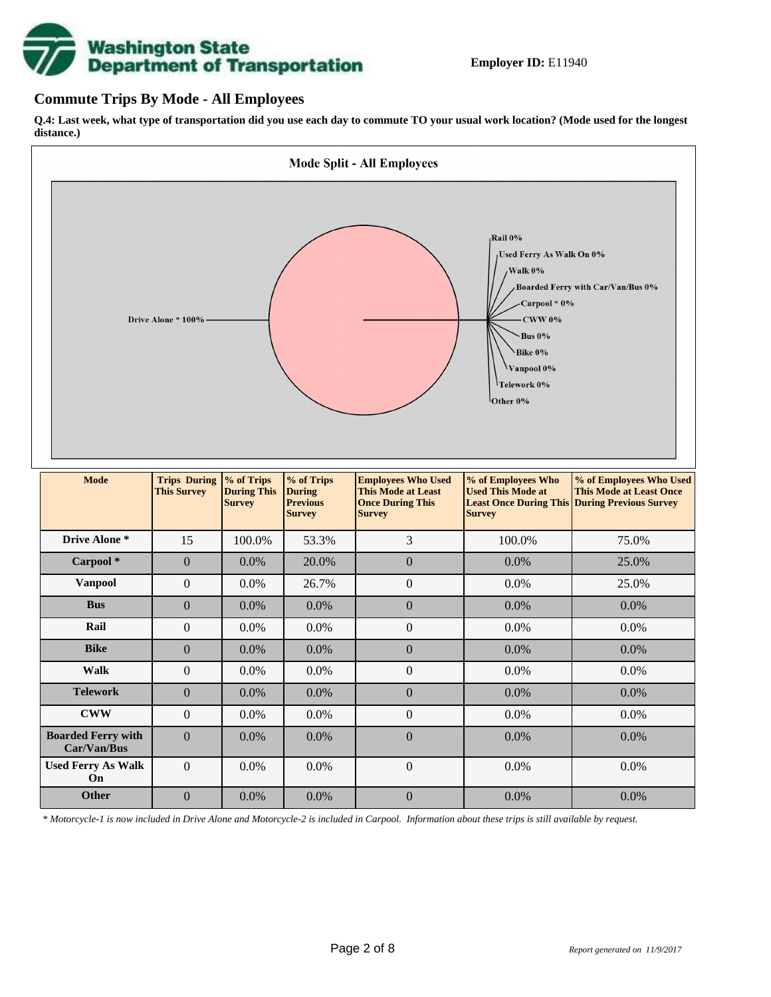

### **Commute Trips By Mode - All Employees**

**Q.4: Last week, what type of transportation did you use each day to commute TO your usual work location? (Mode used for the longest distance.)**



*\* Motorcycle-1 is now included in Drive Alone and Motorcycle-2 is included in Carpool. Information about these trips is still available by request.*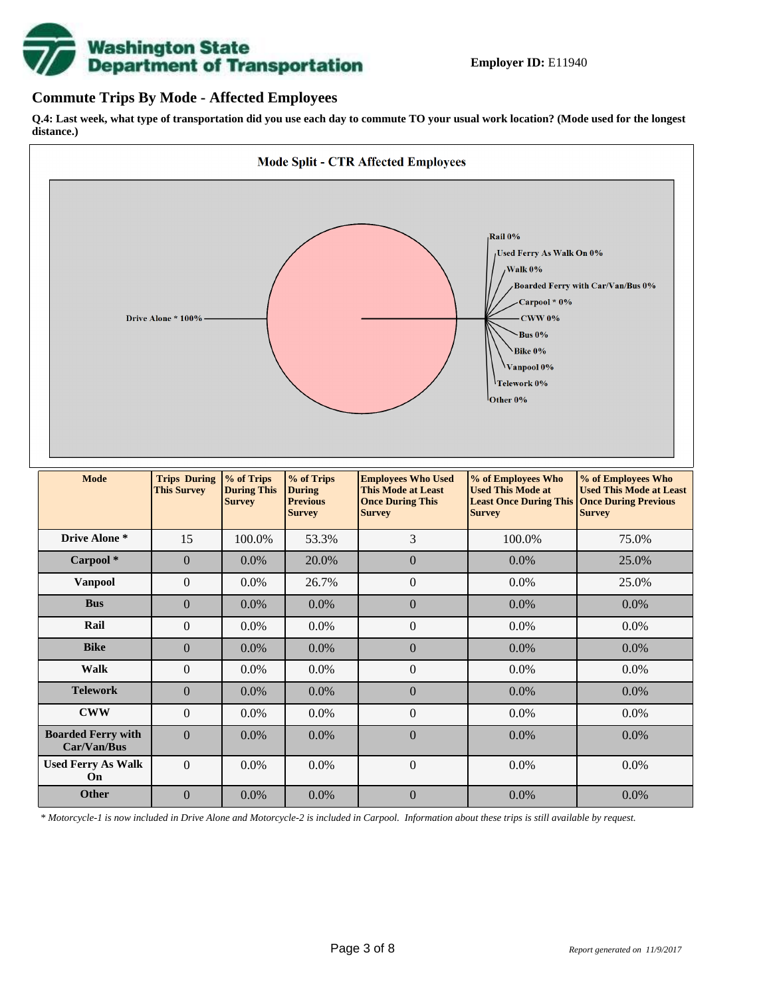

## **Commute Trips By Mode - Affected Employees**

**Q.4: Last week, what type of transportation did you use each day to commute TO your usual work location? (Mode used for the longest distance.)**



*\* Motorcycle-1 is now included in Drive Alone and Motorcycle-2 is included in Carpool. Information about these trips is still available by request.*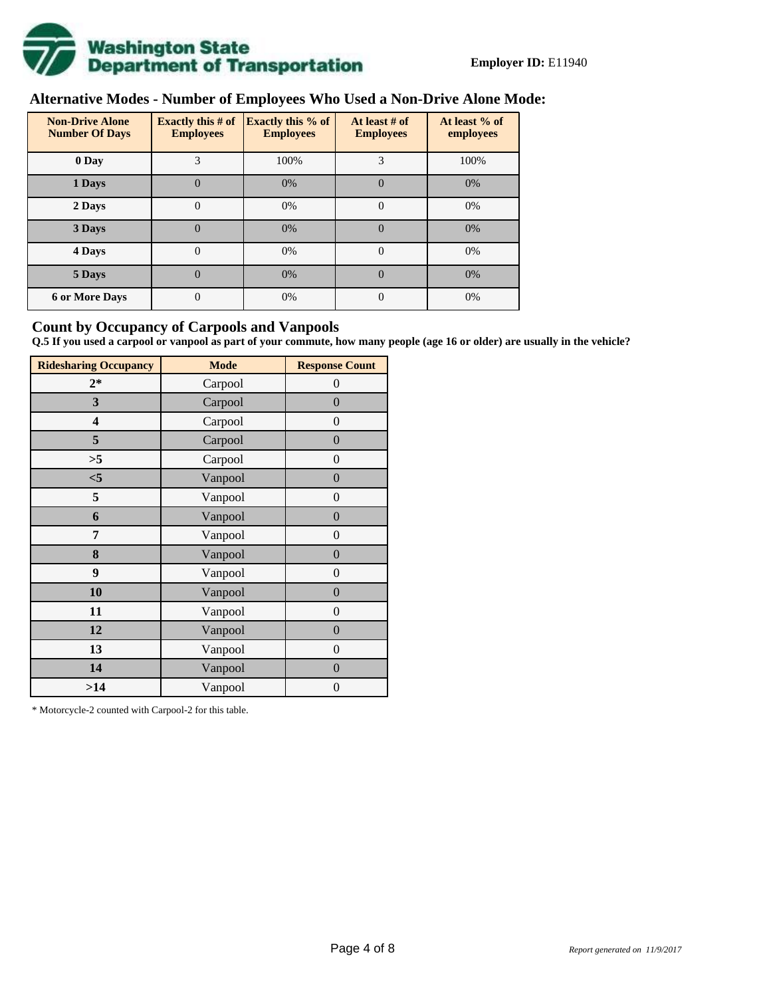

# **Alternative Modes - Number of Employees Who Used a Non-Drive Alone Mode:**

| <b>Non-Drive Alone</b><br><b>Number Of Days</b> | <b>Exactly this # of</b><br><b>Employees</b> | <b>Exactly this % of</b><br><b>Employees</b> | At least # of<br><b>Employees</b> | At least % of<br>employees |
|-------------------------------------------------|----------------------------------------------|----------------------------------------------|-----------------------------------|----------------------------|
| 0 Day                                           | 3                                            | 100%                                         | 3                                 | 100%                       |
| 1 Days                                          | $\overline{0}$                               | 0%                                           | $\Omega$                          | 0%                         |
| 2 Days                                          | 0                                            | 0%                                           | $\Omega$                          | 0%                         |
| 3 Days                                          | $\theta$                                     | 0%                                           | $\Omega$                          | 0%                         |
| 4 Days                                          | $\theta$                                     | 0%                                           | $\Omega$                          | 0%                         |
| 5 Days                                          | 0                                            | 0%                                           | $\Omega$                          | 0%                         |
| <b>6 or More Days</b>                           | 0                                            | 0%                                           | $\Omega$                          | 0%                         |

## **Count by Occupancy of Carpools and Vanpools**

**Q.5 If you used a carpool or vanpool as part of your commute, how many people (age 16 or older) are usually in the vehicle?**

| <b>Ridesharing Occupancy</b> | <b>Mode</b> | <b>Response Count</b> |
|------------------------------|-------------|-----------------------|
| $2*$                         | Carpool     | 0                     |
| 3                            | Carpool     | $\boldsymbol{0}$      |
| 4                            | Carpool     | $\boldsymbol{0}$      |
| 5                            | Carpool     | $\boldsymbol{0}$      |
| >5                           | Carpool     | $\overline{0}$        |
| $<$ 5                        | Vanpool     | $\overline{0}$        |
| 5                            | Vanpool     | $\boldsymbol{0}$      |
| 6                            | Vanpool     | $\boldsymbol{0}$      |
| 7                            | Vanpool     | $\boldsymbol{0}$      |
| 8                            | Vanpool     | $\boldsymbol{0}$      |
| 9                            | Vanpool     | $\boldsymbol{0}$      |
| 10                           | Vanpool     | $\overline{0}$        |
| 11                           | Vanpool     | $\overline{0}$        |
| 12                           | Vanpool     | $\boldsymbol{0}$      |
| 13                           | Vanpool     | $\boldsymbol{0}$      |
| 14                           | Vanpool     | $\overline{0}$        |
| >14                          | Vanpool     | $\boldsymbol{0}$      |

\* Motorcycle-2 counted with Carpool-2 for this table.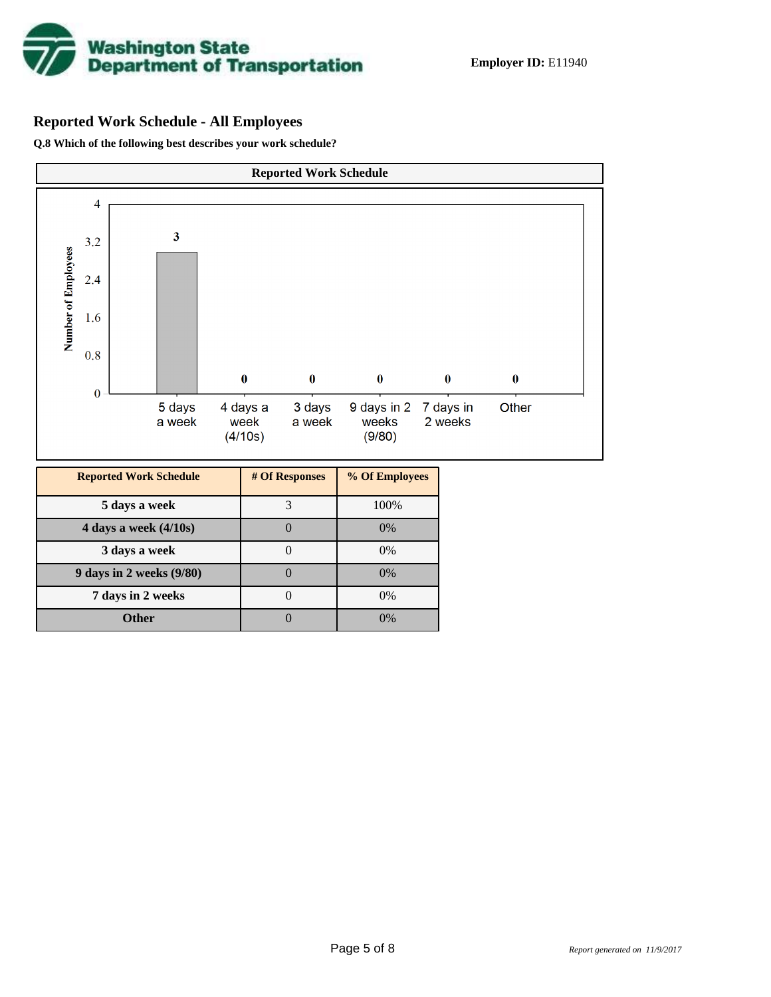

## **Reported Work Schedule - All Employees**

**Q.8 Which of the following best describes your work schedule?**

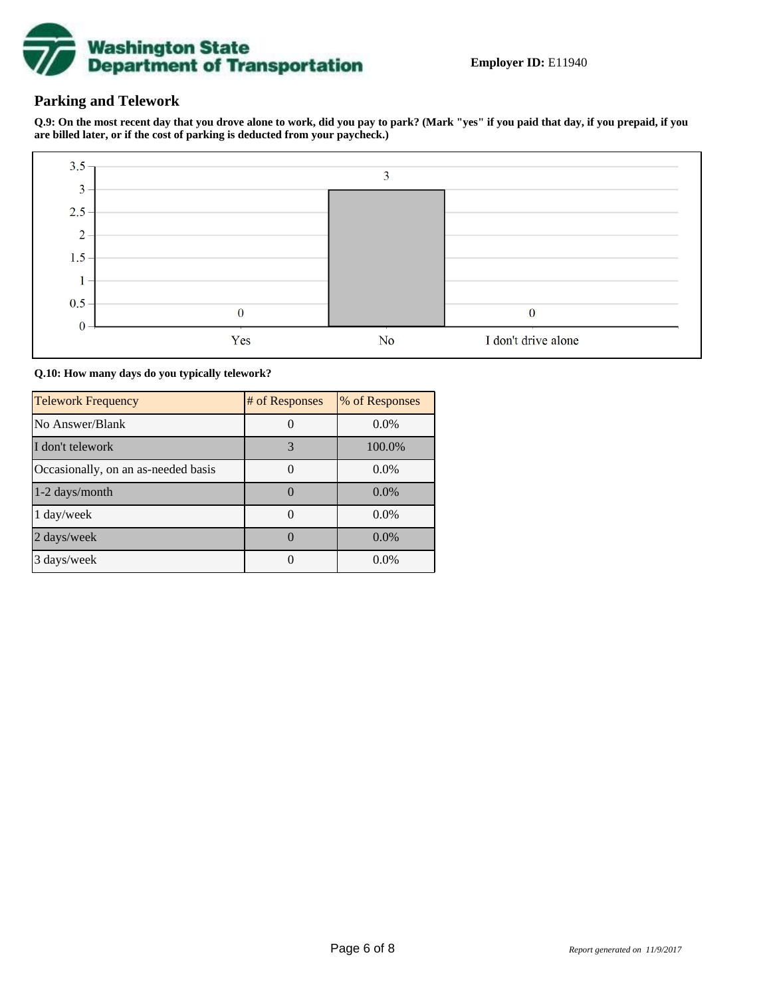

## **Parking and Telework**

**Q.9: On the most recent day that you drove alone to work, did you pay to park? (Mark "yes" if you paid that day, if you prepaid, if you are billed later, or if the cost of parking is deducted from your paycheck.)**



**Q.10: How many days do you typically telework?**

| <b>Telework Frequency</b>           | # of Responses | % of Responses |
|-------------------------------------|----------------|----------------|
| No Answer/Blank                     |                | $0.0\%$        |
| I don't telework                    | 3              | 100.0%         |
| Occasionally, on an as-needed basis |                | $0.0\%$        |
| 1-2 days/month                      |                | $0.0\%$        |
| 1 day/week                          |                | $0.0\%$        |
| 2 days/week                         |                | $0.0\%$        |
| 3 days/week                         |                | $0.0\%$        |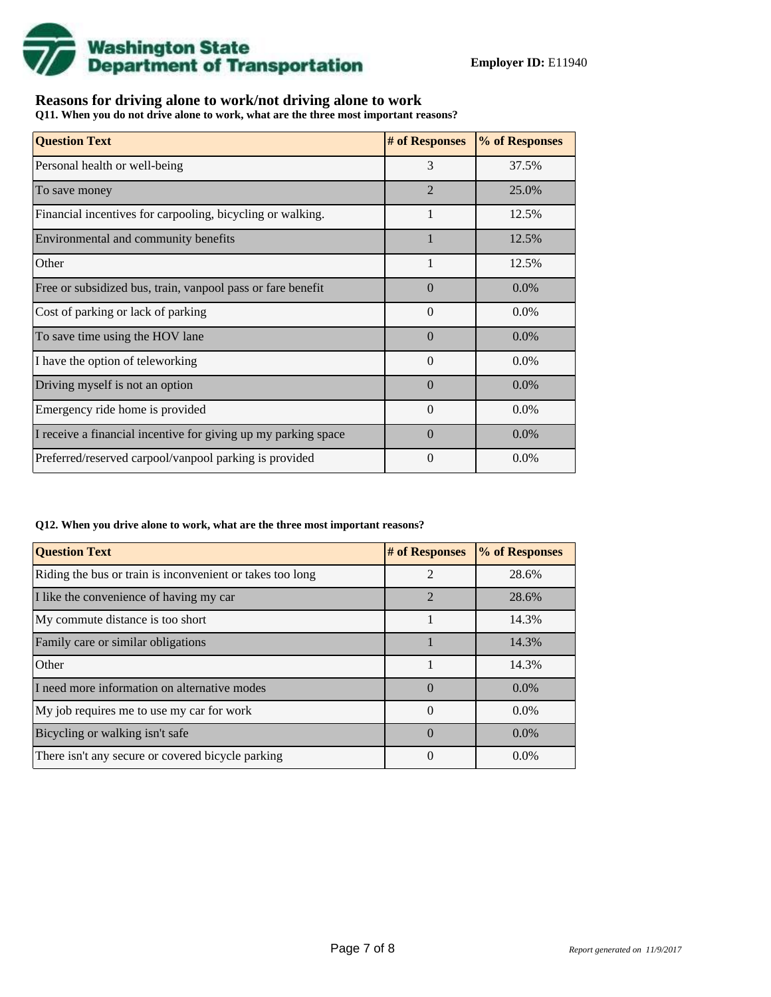

## **Reasons for driving alone to work/not driving alone to work**

**Q11. When you do not drive alone to work, what are the three most important reasons?**

| <b>Question Text</b>                                           | # of Responses | % of Responses |
|----------------------------------------------------------------|----------------|----------------|
| Personal health or well-being                                  | 3              | 37.5%          |
| To save money                                                  | $\overline{2}$ | 25.0%          |
| Financial incentives for carpooling, bicycling or walking.     |                | 12.5%          |
| Environmental and community benefits                           | $\mathbf{1}$   | 12.5%          |
| Other                                                          | 1              | 12.5%          |
| Free or subsidized bus, train, vanpool pass or fare benefit    | $\Omega$       | $0.0\%$        |
| Cost of parking or lack of parking                             | $\Omega$       | $0.0\%$        |
| To save time using the HOV lane                                | $\Omega$       | $0.0\%$        |
| I have the option of teleworking                               | $\Omega$       | $0.0\%$        |
| Driving myself is not an option                                | $\Omega$       | $0.0\%$        |
| Emergency ride home is provided                                | $\Omega$       | $0.0\%$        |
| I receive a financial incentive for giving up my parking space | $\Omega$       | $0.0\%$        |
| Preferred/reserved carpool/vanpool parking is provided         | $\Omega$       | $0.0\%$        |

#### **Q12. When you drive alone to work, what are the three most important reasons?**

| <b>Question Text</b>                                      | # of Responses | % of Responses |
|-----------------------------------------------------------|----------------|----------------|
| Riding the bus or train is inconvenient or takes too long | $\mathfrak{D}$ | 28.6%          |
| I like the convenience of having my car                   | $\mathfrak{D}$ | 28.6%          |
| My commute distance is too short                          |                | 14.3%          |
| Family care or similar obligations                        |                | 14.3%          |
| Other                                                     |                | 14.3%          |
| I need more information on alternative modes              | $\Omega$       | $0.0\%$        |
| My job requires me to use my car for work                 | $\Omega$       | $0.0\%$        |
| Bicycling or walking isn't safe                           | $\Omega$       | $0.0\%$        |
| There isn't any secure or covered bicycle parking         | 0              | $0.0\%$        |